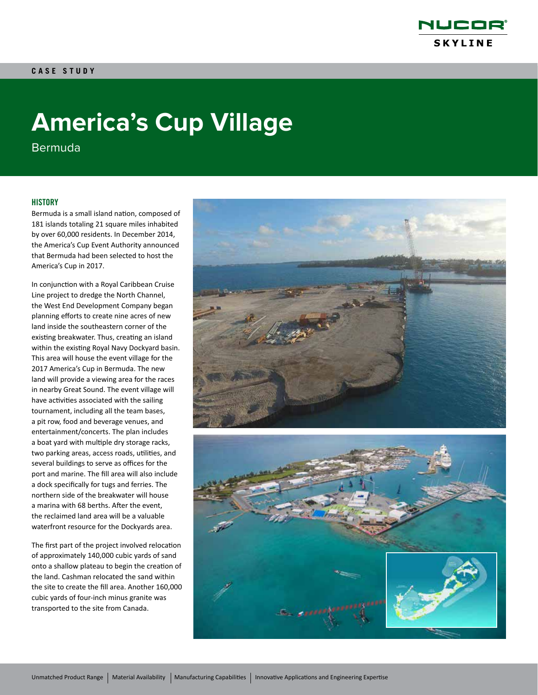

# **America's Cup Village**

Bermuda

### **HISTORY**

Bermuda is a small island nation, composed of 181 islands totaling 21 square miles inhabited by over 60,000 residents. In December 2014, the America's Cup Event Authority announced that Bermuda had been selected to host the America's Cup in 2017.

In conjunction with a Royal Caribbean Cruise Line project to dredge the North Channel, the West End Development Company began planning efforts to create nine acres of new land inside the southeastern corner of the existing breakwater. Thus, creating an island within the existing Royal Navy Dockyard basin. This area will house the event village for the 2017 America's Cup in Bermuda. The new land will provide a viewing area for the races in nearby Great Sound. The event village will have activities associated with the sailing tournament, including all the team bases, a pit row, food and beverage venues, and entertainment/concerts. The plan includes a boat yard with multiple dry storage racks, two parking areas, access roads, utilities, and several buildings to serve as offices for the port and marine. The fill area will also include a dock specifically for tugs and ferries. The northern side of the breakwater will house a marina with 68 berths. After the event, the reclaimed land area will be a valuable waterfront resource for the Dockyards area.

The first part of the project involved relocation of approximately 140,000 cubic yards of sand onto a shallow plateau to begin the creation of the land. Cashman relocated the sand within the site to create the fill area. Another 160,000 cubic yards of four-inch minus granite was transported to the site from Canada.